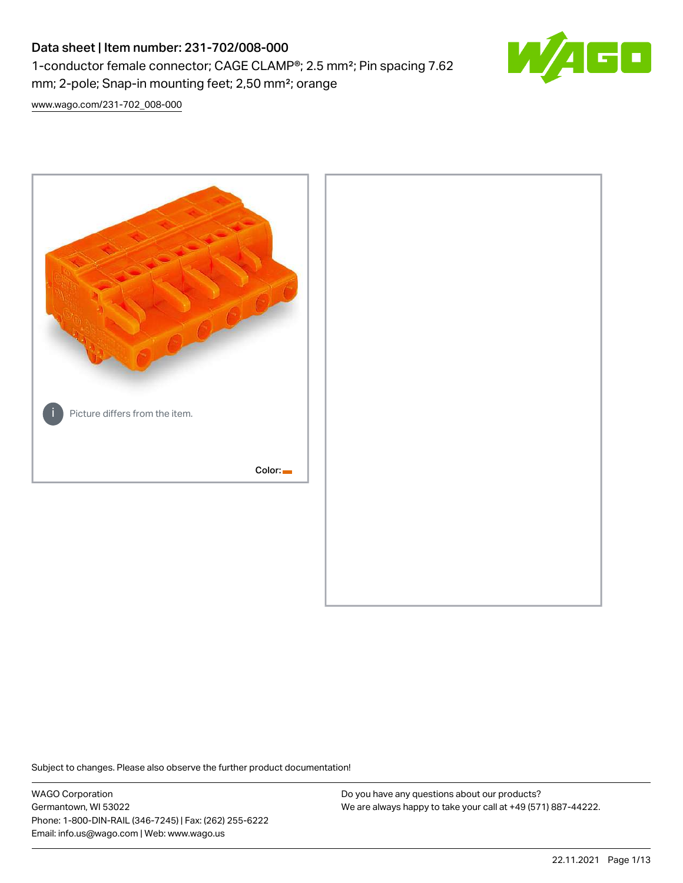# Data sheet | Item number: 231-702/008-000 1-conductor female connector; CAGE CLAMP®; 2.5 mm²; Pin spacing 7.62 mm; 2-pole; Snap-in mounting feet; 2,50 mm²; orange



[www.wago.com/231-702\\_008-000](http://www.wago.com/231-702_008-000)



Subject to changes. Please also observe the further product documentation!

WAGO Corporation Germantown, WI 53022 Phone: 1-800-DIN-RAIL (346-7245) | Fax: (262) 255-6222 Email: info.us@wago.com | Web: www.wago.us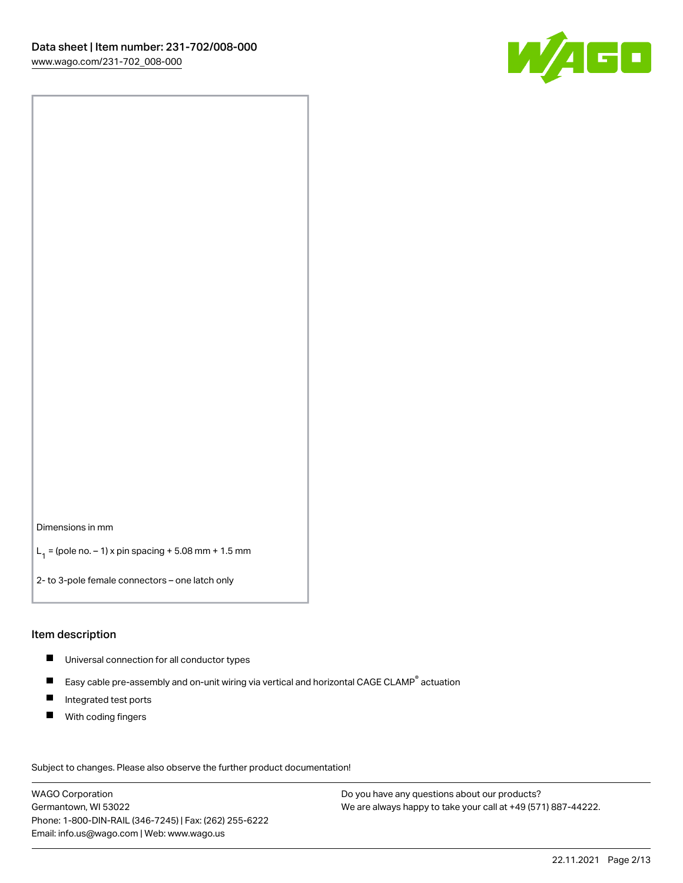

Dimensions in mm

 $L_1 =$  (pole no.  $-1$ ) x pin spacing + 5.08 mm + 1.5 mm

2- to 3-pole female connectors – one latch only

#### Item description

- Universal connection for all conductor types
- $\blacksquare$ Easy cable pre-assembly and on-unit wiring via vertical and horizontal CAGE CLAMP<sup>®</sup> actuation
- $\blacksquare$ Integrated test ports
- $\blacksquare$ With coding fingers

Subject to changes. Please also observe the further product documentation! Data

WAGO Corporation Germantown, WI 53022 Phone: 1-800-DIN-RAIL (346-7245) | Fax: (262) 255-6222 Email: info.us@wago.com | Web: www.wago.us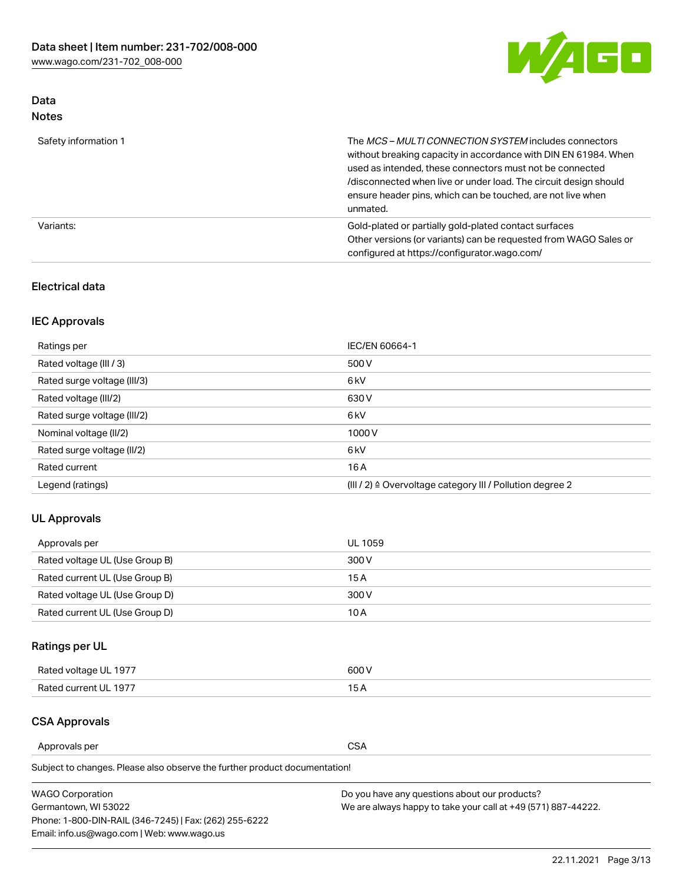

## Data Notes

| Safety information 1 | The MCS-MULTI CONNECTION SYSTEM includes connectors<br>without breaking capacity in accordance with DIN EN 61984. When<br>used as intended, these connectors must not be connected<br>/disconnected when live or under load. The circuit design should<br>ensure header pins, which can be touched, are not live when<br>unmated. |
|----------------------|-----------------------------------------------------------------------------------------------------------------------------------------------------------------------------------------------------------------------------------------------------------------------------------------------------------------------------------|
| Variants:            | Gold-plated or partially gold-plated contact surfaces<br>Other versions (or variants) can be requested from WAGO Sales or<br>configured at https://configurator.wago.com/                                                                                                                                                         |

## Electrical data

## IEC Approvals

| Ratings per                 | IEC/EN 60664-1                                                        |
|-----------------------------|-----------------------------------------------------------------------|
| Rated voltage (III / 3)     | 500 V                                                                 |
| Rated surge voltage (III/3) | 6 <sub>kV</sub>                                                       |
| Rated voltage (III/2)       | 630 V                                                                 |
| Rated surge voltage (III/2) | 6 <sub>kV</sub>                                                       |
| Nominal voltage (II/2)      | 1000V                                                                 |
| Rated surge voltage (II/2)  | 6 <sub>kV</sub>                                                       |
| Rated current               | 16A                                                                   |
| Legend (ratings)            | $(III / 2)$ $\triangle$ Overvoltage category III / Pollution degree 2 |

## UL Approvals

| Approvals per                  | UL 1059 |
|--------------------------------|---------|
| Rated voltage UL (Use Group B) | 300 V   |
| Rated current UL (Use Group B) | 15 A    |
| Rated voltage UL (Use Group D) | 300 V   |
| Rated current UL (Use Group D) | 10 A    |

# Ratings per UL

| Rated voltage UL 1977 | 600 V         |
|-----------------------|---------------|
| Rated current UL 1977 | $\sim$ $\sim$ |

## CSA Approvals

Approvals per CSA

Subject to changes. Please also observe the further product documentation!

| <b>WAGO Corporation</b>                                | Do you have any questions about our products?                 |
|--------------------------------------------------------|---------------------------------------------------------------|
| Germantown, WI 53022                                   | We are always happy to take your call at +49 (571) 887-44222. |
| Phone: 1-800-DIN-RAIL (346-7245)   Fax: (262) 255-6222 |                                                               |
| Email: info.us@wago.com   Web: www.wago.us             |                                                               |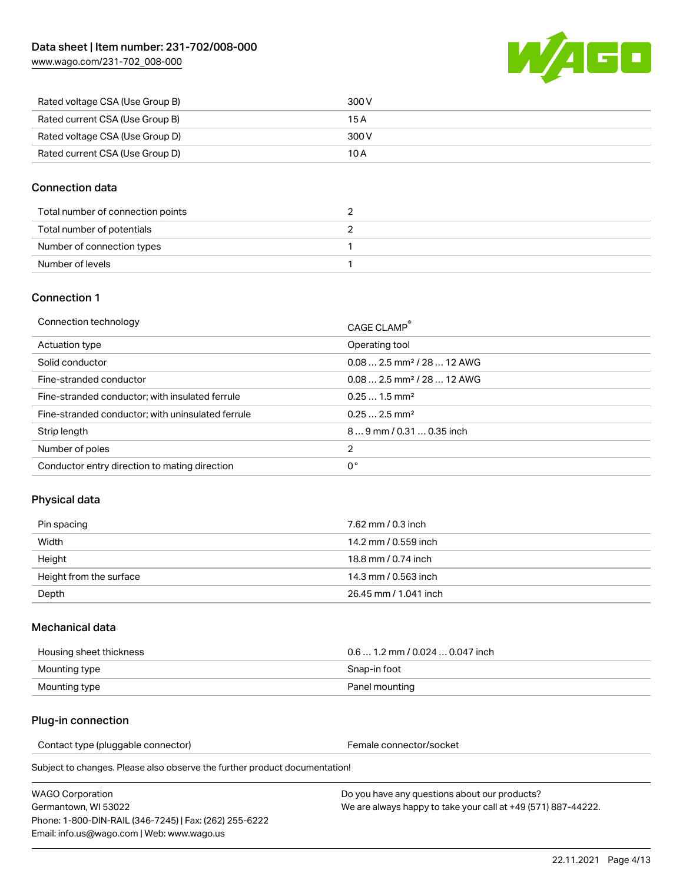

| Rated voltage CSA (Use Group B) | 300 V |
|---------------------------------|-------|
| Rated current CSA (Use Group B) | 15 A  |
| Rated voltage CSA (Use Group D) | 300 V |
| Rated current CSA (Use Group D) | 10 A  |

## Connection data

| Total number of connection points |  |
|-----------------------------------|--|
| Total number of potentials        |  |
| Number of connection types        |  |
| Number of levels                  |  |

### Connection 1

| Connection technology                             | CAGE CLAMP <sup>®</sup>                 |
|---------------------------------------------------|-----------------------------------------|
| Actuation type                                    | Operating tool                          |
| Solid conductor                                   | $0.082.5$ mm <sup>2</sup> / 28  12 AWG  |
| Fine-stranded conductor                           | $0.08$ 2.5 mm <sup>2</sup> / 28  12 AWG |
| Fine-stranded conductor; with insulated ferrule   | $0.251.5$ mm <sup>2</sup>               |
| Fine-stranded conductor; with uninsulated ferrule | $0.252.5$ mm <sup>2</sup>               |
| Strip length                                      | $89$ mm $/$ 0.31  0.35 inch             |
| Number of poles                                   | 2                                       |
| Conductor entry direction to mating direction     | 0°                                      |

## Physical data

| Pin spacing             | 7.62 mm / 0.3 inch    |
|-------------------------|-----------------------|
| Width                   | 14.2 mm / 0.559 inch  |
| Height                  | 18.8 mm / 0.74 inch   |
| Height from the surface | 14.3 mm / 0.563 inch  |
| Depth                   | 26.45 mm / 1.041 inch |

#### Mechanical data

| Housing sheet thickness | $0.61.2$ mm $/0.0240.047$ inch |
|-------------------------|--------------------------------|
| Mounting type           | Snap-in foot                   |
| Mounting type           | Panel mounting                 |

## Plug-in connection

Contact type (pluggable connector) example a set of the Female connector/socket

Subject to changes. Please also observe the further product documentation!

| WAGO Corporation                                       |  |
|--------------------------------------------------------|--|
| Germantown. WI 53022                                   |  |
| Phone: 1-800-DIN-RAIL (346-7245)   Fax: (262) 255-6222 |  |
| Email: info.us@wago.com   Web: www.wago.us             |  |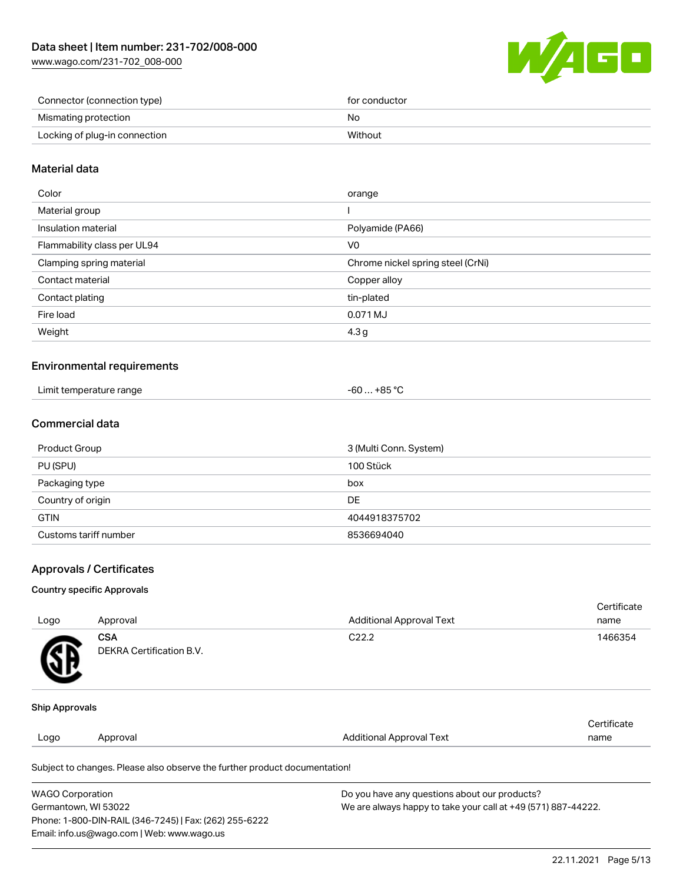

| Connector (connection type)   | for conductor |
|-------------------------------|---------------|
| Mismating protection          | No            |
| Locking of plug-in connection | Without       |

## Material data

| Color                       | orange                            |
|-----------------------------|-----------------------------------|
| Material group              |                                   |
| Insulation material         | Polyamide (PA66)                  |
| Flammability class per UL94 | V0                                |
| Clamping spring material    | Chrome nickel spring steel (CrNi) |
| Contact material            | Copper alloy                      |
| Contact plating             | tin-plated                        |
| Fire load                   | 0.071 MJ                          |
| Weight                      | 4.3 <sub>g</sub>                  |
|                             |                                   |

#### Environmental requirements

| Limit temperature range | .+85 °C<br>-60 |
|-------------------------|----------------|
|-------------------------|----------------|

## Commercial data

| Product Group         | 3 (Multi Conn. System) |
|-----------------------|------------------------|
| PU (SPU)              | 100 Stück              |
| Packaging type        | box                    |
| Country of origin     | DE                     |
| <b>GTIN</b>           | 4044918375702          |
| Customs tariff number | 8536694040             |

#### Approvals / Certificates

#### Country specific Approvals

| Logo                  | Approval                               | <b>Additional Approval Text</b> | Certificate<br>name |
|-----------------------|----------------------------------------|---------------------------------|---------------------|
| SB                    | <b>CSA</b><br>DEKRA Certification B.V. | C <sub>22.2</sub>               | 1466354             |
| <b>Ship Approvals</b> |                                        |                                 |                     |
|                       |                                        | <b>Additional Approval Text</b> | Certificate         |

Subject to changes. Please also observe the further product documentation!

| <b>WAGO Corporation</b>                                | Do you have any questions about our products?                 |
|--------------------------------------------------------|---------------------------------------------------------------|
| Germantown, WI 53022                                   | We are always happy to take your call at +49 (571) 887-44222. |
| Phone: 1-800-DIN-RAIL (346-7245)   Fax: (262) 255-6222 |                                                               |
| Email: info.us@wago.com   Web: www.wago.us             |                                                               |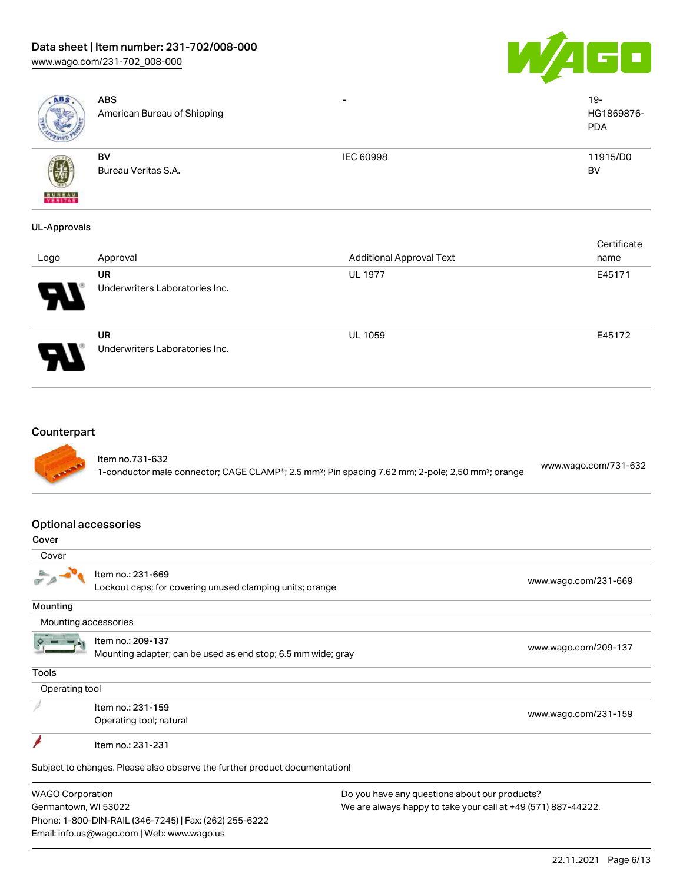# Data sheet | Item number: 231-702/008-000

[www.wago.com/231-702\\_008-000](http://www.wago.com/231-702_008-000)



| ABS                                  | <b>ABS</b><br>American Bureau of Shipping                                                                                                                 |                                 | $19 -$<br>HG1869876-<br><b>PDA</b> |
|--------------------------------------|-----------------------------------------------------------------------------------------------------------------------------------------------------------|---------------------------------|------------------------------------|
|                                      | BV<br>Bureau Veritas S.A.                                                                                                                                 | IEC 60998                       | 11915/D0<br><b>BV</b>              |
| <b>UL-Approvals</b>                  |                                                                                                                                                           |                                 |                                    |
| Logo                                 | Approval                                                                                                                                                  | <b>Additional Approval Text</b> | Certificate<br>name                |
|                                      | UR<br>Underwriters Laboratories Inc.                                                                                                                      | UL 1977                         | E45171                             |
|                                      | <b>UR</b><br>Underwriters Laboratories Inc.                                                                                                               | UL 1059                         | E45172                             |
| Counterpart                          |                                                                                                                                                           |                                 |                                    |
|                                      | Item no.731-632<br>1-conductor male connector; CAGE CLAMP <sup>®</sup> ; 2.5 mm <sup>2</sup> ; Pin spacing 7.62 mm; 2-pole; 2,50 mm <sup>2</sup> ; orange |                                 | www.wago.com/731-632               |
| <b>Optional accessories</b><br>Cover |                                                                                                                                                           |                                 |                                    |
| Cover                                |                                                                                                                                                           |                                 |                                    |
|                                      | Item no.: 231-669<br>Lockout caps; for covering unused clamping units; orange                                                                             |                                 | www.wago.com/231-669               |
| Mounting                             |                                                                                                                                                           |                                 |                                    |
| Mounting accessories                 |                                                                                                                                                           |                                 |                                    |
|                                      | Item no.: 209-137<br>Mounting adapter; can be used as end stop; 6.5 mm wide; gray                                                                         |                                 | www.wago.com/209-137               |

Tools

Ã

Operating tool

Item no.: 231-159 Next the set to the control of the control of the control of the control of the control of the control of the control of the control of the control of the control of the control of the control of the control of the control

¥ Item no.: 231-231

Subject to changes. Please also observe the further product documentation!

WAGO Corporation Germantown, WI 53022 Phone: 1-800-DIN-RAIL (346-7245) | Fax: (262) 255-6222 Email: info.us@wago.com | Web: www.wago.us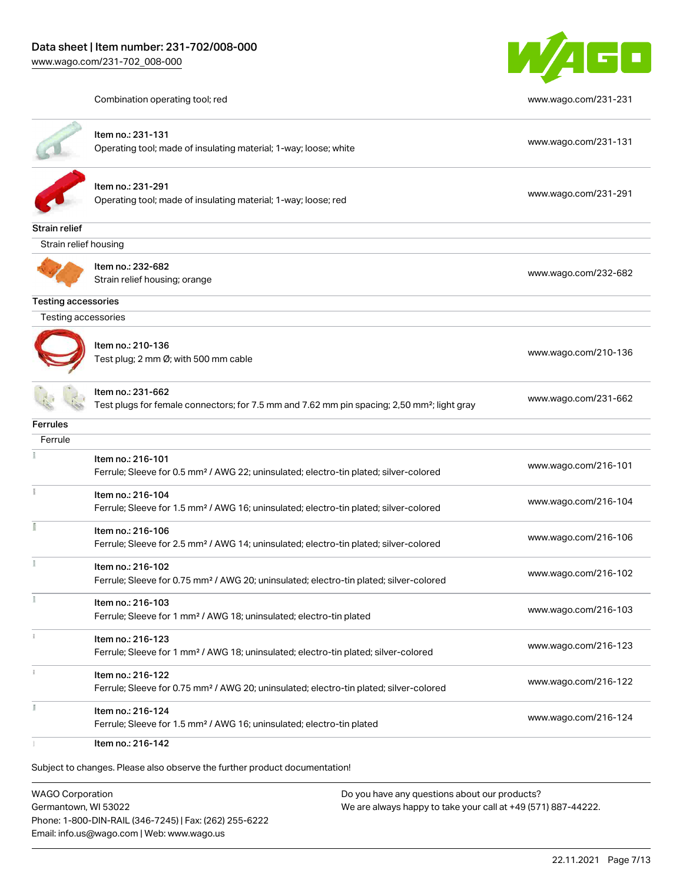

Combination operating tool; red [www.wago.com/231-231](http://www.wago.com/231-231)

|                            | Item no.: 231-131<br>Operating tool; made of insulating material; 1-way; loose; white                                        | www.wago.com/231-131 |
|----------------------------|------------------------------------------------------------------------------------------------------------------------------|----------------------|
|                            | Item no.: 231-291<br>Operating tool; made of insulating material; 1-way; loose; red                                          | www.wago.com/231-291 |
| Strain relief              |                                                                                                                              |                      |
| Strain relief housing      |                                                                                                                              |                      |
|                            | Item no.: 232-682<br>Strain relief housing; orange                                                                           | www.wago.com/232-682 |
| <b>Testing accessories</b> |                                                                                                                              |                      |
| Testing accessories        |                                                                                                                              |                      |
|                            | Item no.: 210-136<br>Test plug; 2 mm Ø; with 500 mm cable                                                                    | www.wago.com/210-136 |
|                            | Item no.: 231-662<br>Test plugs for female connectors; for 7.5 mm and 7.62 mm pin spacing; 2,50 mm <sup>2</sup> ; light gray | www.wago.com/231-662 |
| Ferrules                   |                                                                                                                              |                      |
| Ferrule                    |                                                                                                                              |                      |
|                            | Item no.: 216-101<br>Ferrule; Sleeve for 0.5 mm <sup>2</sup> / AWG 22; uninsulated; electro-tin plated; silver-colored       | www.wago.com/216-101 |
| Ť                          | Item no.: 216-104<br>Ferrule; Sleeve for 1.5 mm <sup>2</sup> / AWG 16; uninsulated; electro-tin plated; silver-colored       | www.wago.com/216-104 |
|                            | Item no.: 216-106<br>Ferrule; Sleeve for 2.5 mm <sup>2</sup> / AWG 14; uninsulated; electro-tin plated; silver-colored       | www.wago.com/216-106 |
|                            | Item no.: 216-102<br>Ferrule; Sleeve for 0.75 mm <sup>2</sup> / AWG 20; uninsulated; electro-tin plated; silver-colored      | www.wago.com/216-102 |
|                            | Item no.: 216-103<br>Ferrule; Sleeve for 1 mm <sup>2</sup> / AWG 18; uninsulated; electro-tin plated                         | www.wago.com/216-103 |
|                            | Item no.: 216-123<br>Ferrule; Sleeve for 1 mm <sup>2</sup> / AWG 18; uninsulated; electro-tin plated; silver-colored         | www.wago.com/216-123 |
| $\frac{1}{3}$              | Item no.: 216-122<br>Ferrule; Sleeve for 0.75 mm <sup>2</sup> / AWG 20; uninsulated; electro-tin plated; silver-colored      | www.wago.com/216-122 |
|                            |                                                                                                                              |                      |

Subject to changes. Please also observe the further product documentation!

WAGO Corporation Germantown, WI 53022 Phone: 1-800-DIN-RAIL (346-7245) | Fax: (262) 255-6222 Email: info.us@wago.com | Web: www.wago.us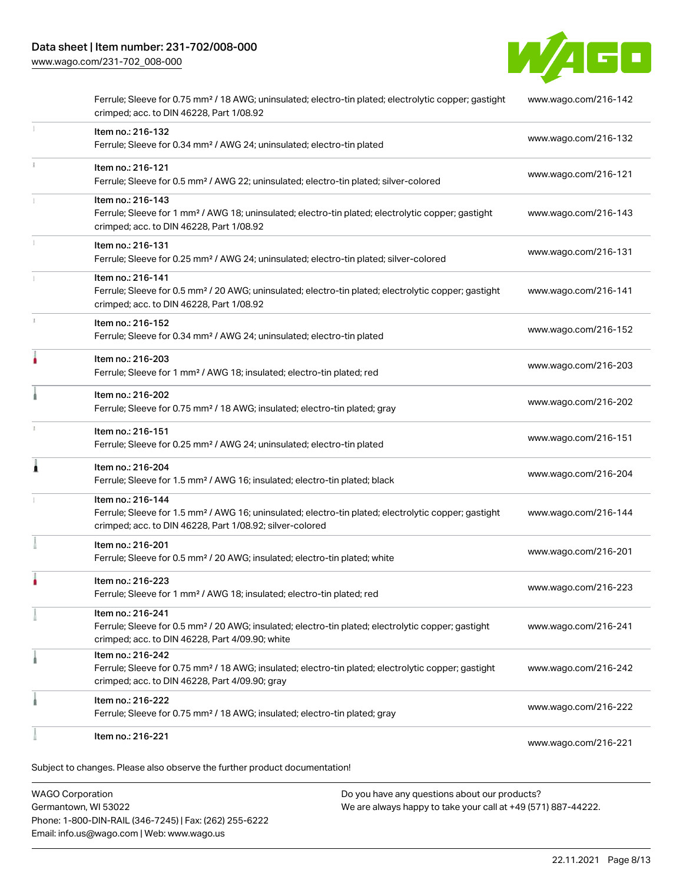

|   | Ferrule; Sleeve for 0.75 mm <sup>2</sup> / 18 AWG; uninsulated; electro-tin plated; electrolytic copper; gastight<br>crimped; acc. to DIN 46228, Part 1/08.92                                     | www.wago.com/216-142 |
|---|---------------------------------------------------------------------------------------------------------------------------------------------------------------------------------------------------|----------------------|
|   | Item no.: 216-132<br>Ferrule; Sleeve for 0.34 mm <sup>2</sup> / AWG 24; uninsulated; electro-tin plated                                                                                           | www.wago.com/216-132 |
|   | Item no.: 216-121<br>Ferrule; Sleeve for 0.5 mm <sup>2</sup> / AWG 22; uninsulated; electro-tin plated; silver-colored                                                                            | www.wago.com/216-121 |
|   | Item no.: 216-143<br>Ferrule; Sleeve for 1 mm <sup>2</sup> / AWG 18; uninsulated; electro-tin plated; electrolytic copper; gastight<br>crimped; acc. to DIN 46228, Part 1/08.92                   | www.wago.com/216-143 |
|   | Item no.: 216-131<br>Ferrule; Sleeve for 0.25 mm <sup>2</sup> / AWG 24; uninsulated; electro-tin plated; silver-colored                                                                           | www.wago.com/216-131 |
|   | Item no.: 216-141<br>Ferrule; Sleeve for 0.5 mm <sup>2</sup> / 20 AWG; uninsulated; electro-tin plated; electrolytic copper; gastight<br>crimped; acc. to DIN 46228, Part 1/08.92                 | www.wago.com/216-141 |
|   | Item no.: 216-152<br>Ferrule; Sleeve for 0.34 mm <sup>2</sup> / AWG 24; uninsulated; electro-tin plated                                                                                           | www.wago.com/216-152 |
|   | Item no.: 216-203<br>Ferrule; Sleeve for 1 mm <sup>2</sup> / AWG 18; insulated; electro-tin plated; red                                                                                           | www.wago.com/216-203 |
|   | Item no.: 216-202<br>Ferrule; Sleeve for 0.75 mm <sup>2</sup> / 18 AWG; insulated; electro-tin plated; gray                                                                                       | www.wago.com/216-202 |
|   | Item no.: 216-151<br>Ferrule; Sleeve for 0.25 mm <sup>2</sup> / AWG 24; uninsulated; electro-tin plated                                                                                           | www.wago.com/216-151 |
| Å | Item no.: 216-204<br>Ferrule; Sleeve for 1.5 mm <sup>2</sup> / AWG 16; insulated; electro-tin plated; black                                                                                       | www.wago.com/216-204 |
|   | Item no.: 216-144<br>Ferrule; Sleeve for 1.5 mm <sup>2</sup> / AWG 16; uninsulated; electro-tin plated; electrolytic copper; gastight<br>crimped; acc. to DIN 46228, Part 1/08.92; silver-colored | www.wago.com/216-144 |
|   | Item no.: 216-201<br>Ferrule; Sleeve for 0.5 mm <sup>2</sup> / 20 AWG; insulated; electro-tin plated; white                                                                                       | www.wago.com/216-201 |
|   | Item no.: 216-223<br>Ferrule; Sleeve for 1 mm <sup>2</sup> / AWG 18; insulated; electro-tin plated; red                                                                                           | www.wago.com/216-223 |
|   | Item no.: 216-241<br>Ferrule; Sleeve for 0.5 mm <sup>2</sup> / 20 AWG; insulated; electro-tin plated; electrolytic copper; gastight<br>crimped; acc. to DIN 46228, Part 4/09.90; white            | www.wago.com/216-241 |
|   | Item no.: 216-242<br>Ferrule; Sleeve for 0.75 mm <sup>2</sup> / 18 AWG; insulated; electro-tin plated; electrolytic copper; gastight<br>crimped; acc. to DIN 46228, Part 4/09.90; gray            | www.wago.com/216-242 |
|   | Item no.: 216-222<br>Ferrule; Sleeve for 0.75 mm <sup>2</sup> / 18 AWG; insulated; electro-tin plated; gray                                                                                       | www.wago.com/216-222 |
|   | Item no.: 216-221                                                                                                                                                                                 | www.wago.com/216-221 |

WAGO Corporation Germantown, WI 53022 Phone: 1-800-DIN-RAIL (346-7245) | Fax: (262) 255-6222 Email: info.us@wago.com | Web: www.wago.us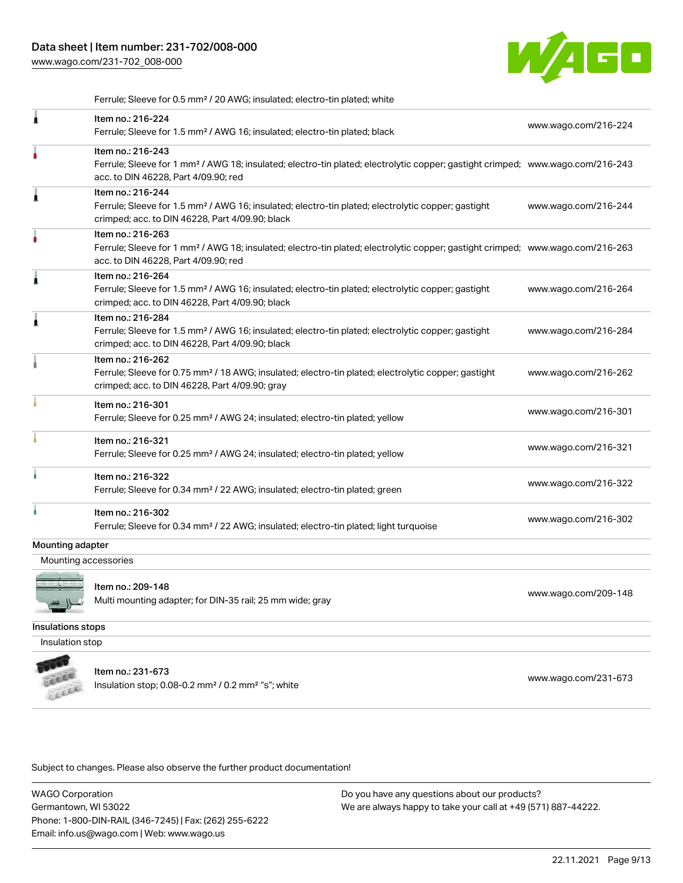

Ferrule; Sleeve for 0.5 mm² / 20 AWG; insulated; electro-tin plated; white

| £                    | Item no.: 216-224<br>Ferrule; Sleeve for 1.5 mm <sup>2</sup> / AWG 16; insulated; electro-tin plated; black                                                                                             | www.wago.com/216-224 |
|----------------------|---------------------------------------------------------------------------------------------------------------------------------------------------------------------------------------------------------|----------------------|
|                      | Item no.: 216-243<br>Ferrule; Sleeve for 1 mm <sup>2</sup> / AWG 18; insulated; electro-tin plated; electrolytic copper; gastight crimped; www.wago.com/216-243<br>acc. to DIN 46228, Part 4/09.90; red |                      |
| Â                    | Item no.: 216-244<br>Ferrule; Sleeve for 1.5 mm <sup>2</sup> / AWG 16; insulated; electro-tin plated; electrolytic copper; gastight<br>crimped; acc. to DIN 46228, Part 4/09.90; black                  | www.wago.com/216-244 |
|                      | Item no.: 216-263<br>Ferrule; Sleeve for 1 mm <sup>2</sup> / AWG 18; insulated; electro-tin plated; electrolytic copper; gastight crimped; www.wago.com/216-263<br>acc. to DIN 46228, Part 4/09.90; red |                      |
| 1                    | Item no.: 216-264<br>Ferrule; Sleeve for 1.5 mm <sup>2</sup> / AWG 16; insulated; electro-tin plated; electrolytic copper; gastight<br>crimped; acc. to DIN 46228, Part 4/09.90; black                  | www.wago.com/216-264 |
| Â                    | Item no.: 216-284<br>Ferrule; Sleeve for 1.5 mm <sup>2</sup> / AWG 16; insulated; electro-tin plated; electrolytic copper; gastight<br>crimped; acc. to DIN 46228, Part 4/09.90; black                  | www.wago.com/216-284 |
|                      | Item no.: 216-262<br>Ferrule; Sleeve for 0.75 mm <sup>2</sup> / 18 AWG; insulated; electro-tin plated; electrolytic copper; gastight<br>crimped; acc. to DIN 46228, Part 4/09.90; gray                  | www.wago.com/216-262 |
|                      | Item no.: 216-301<br>Ferrule; Sleeve for 0.25 mm <sup>2</sup> / AWG 24; insulated; electro-tin plated; yellow                                                                                           | www.wago.com/216-301 |
|                      | Item no.: 216-321<br>Ferrule; Sleeve for 0.25 mm <sup>2</sup> / AWG 24; insulated; electro-tin plated; yellow                                                                                           | www.wago.com/216-321 |
|                      | Item no.: 216-322<br>Ferrule; Sleeve for 0.34 mm <sup>2</sup> / 22 AWG; insulated; electro-tin plated; green                                                                                            | www.wago.com/216-322 |
|                      | Item no.: 216-302<br>Ferrule; Sleeve for 0.34 mm <sup>2</sup> / 22 AWG; insulated; electro-tin plated; light turquoise                                                                                  | www.wago.com/216-302 |
| Mounting adapter     |                                                                                                                                                                                                         |                      |
| Mounting accessories |                                                                                                                                                                                                         |                      |
|                      | Item no.: 209-148<br>Multi mounting adapter; for DIN-35 rail; 25 mm wide; gray                                                                                                                          | www.wago.com/209-148 |
| Insulations stops    |                                                                                                                                                                                                         |                      |
| Insulation stop      |                                                                                                                                                                                                         |                      |
|                      | Item no.: 231-673<br>Insulation stop; 0.08-0.2 mm <sup>2</sup> / 0.2 mm <sup>2</sup> "s"; white                                                                                                         | www.wago.com/231-673 |

Subject to changes. Please also observe the further product documentation!

WAGO Corporation Germantown, WI 53022 Phone: 1-800-DIN-RAIL (346-7245) | Fax: (262) 255-6222 Email: info.us@wago.com | Web: www.wago.us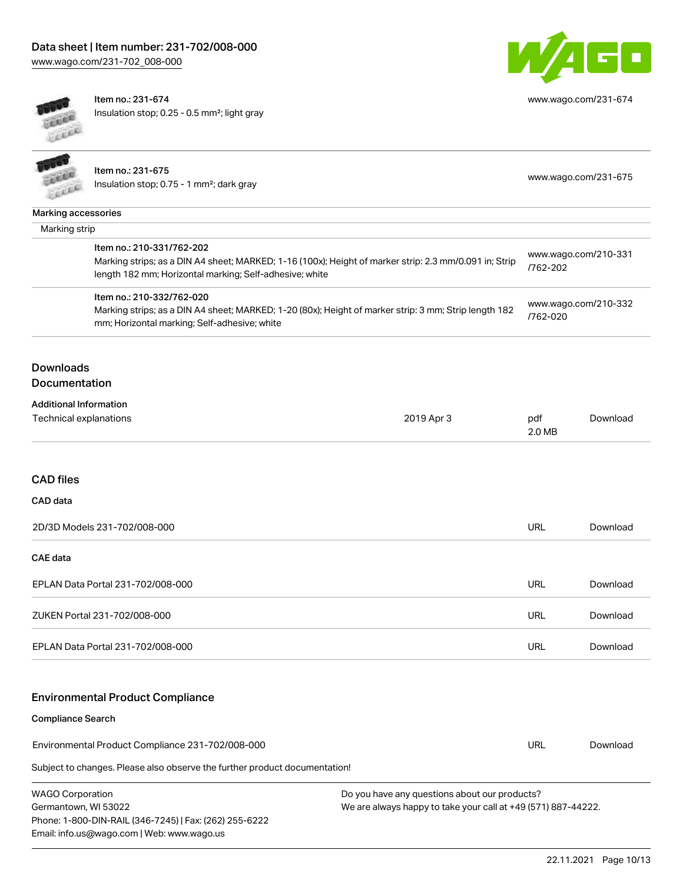

[www.wago.com/231-674](http://www.wago.com/231-674)

Item no.: 231-674 Insulation stop; 0.25 - 0.5 mm²; light gray

|                                                               | Item no.: 231-675                                                                                                                                                 |            |                      |          |
|---------------------------------------------------------------|-------------------------------------------------------------------------------------------------------------------------------------------------------------------|------------|----------------------|----------|
| Insulation stop; 0.75 - 1 mm <sup>2</sup> ; dark gray<br>LEEE |                                                                                                                                                                   |            | www.wago.com/231-675 |          |
| <b>Marking accessories</b>                                    |                                                                                                                                                                   |            |                      |          |
| Marking strip                                                 |                                                                                                                                                                   |            |                      |          |
|                                                               | Item no.: 210-331/762-202                                                                                                                                         |            | www.wago.com/210-331 |          |
|                                                               | Marking strips; as a DIN A4 sheet; MARKED; 1-16 (100x); Height of marker strip: 2.3 mm/0.091 in; Strip<br>length 182 mm; Horizontal marking; Self-adhesive; white |            | /762-202             |          |
|                                                               | Item no.: 210-332/762-020                                                                                                                                         |            | www.wago.com/210-332 |          |
|                                                               | Marking strips; as a DIN A4 sheet; MARKED; 1-20 (80x); Height of marker strip: 3 mm; Strip length 182<br>mm; Horizontal marking; Self-adhesive; white             |            | /762-020             |          |
| <b>Downloads</b>                                              |                                                                                                                                                                   |            |                      |          |
| Documentation                                                 |                                                                                                                                                                   |            |                      |          |
| <b>Additional Information</b>                                 |                                                                                                                                                                   |            |                      |          |
| Technical explanations                                        |                                                                                                                                                                   | 2019 Apr 3 | pdf<br>2.0 MB        | Download |
|                                                               |                                                                                                                                                                   |            |                      |          |
| <b>CAD</b> files                                              |                                                                                                                                                                   |            |                      |          |
| CAD data                                                      |                                                                                                                                                                   |            |                      |          |
|                                                               | 2D/3D Models 231-702/008-000                                                                                                                                      |            | <b>URL</b>           | Download |
| <b>CAE</b> data                                               |                                                                                                                                                                   |            |                      |          |
|                                                               | EPLAN Data Portal 231-702/008-000                                                                                                                                 |            | <b>URL</b>           | Download |
|                                                               | ZUKEN Portal 231-702/008-000                                                                                                                                      |            | <b>URL</b>           | Download |
|                                                               | EPLAN Data Portal 231-702/008-000                                                                                                                                 |            | <b>URL</b>           | Download |
|                                                               |                                                                                                                                                                   |            |                      |          |
|                                                               | <b>Environmental Product Compliance</b>                                                                                                                           |            |                      |          |
| <b>Compliance Search</b>                                      |                                                                                                                                                                   |            |                      |          |
| Environmental Product Compliance 231-702/008-000              |                                                                                                                                                                   | URL        | Download             |          |

Subject to changes. Please also observe the further product documentation!

| <b>WAGO Corporation</b>                                |
|--------------------------------------------------------|
| Germantown, WI 53022                                   |
| Phone: 1-800-DIN-RAIL (346-7245)   Fax: (262) 255-6222 |
| Email: info.us@wago.com   Web: www.wago.us             |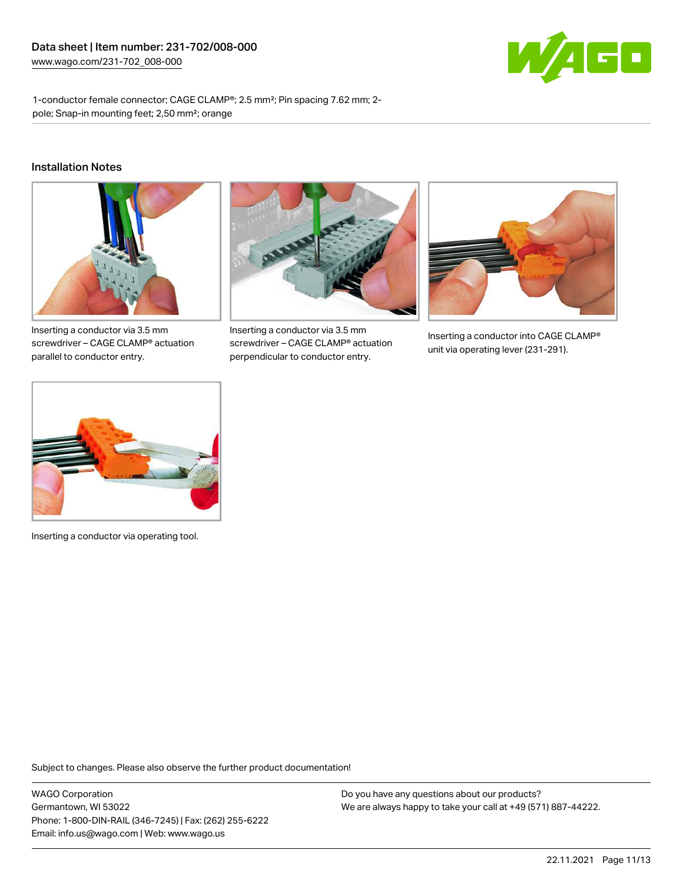

1-conductor female connector; CAGE CLAMP®; 2.5 mm²; Pin spacing 7.62 mm; 2 pole; Snap-in mounting feet; 2,50 mm²; orange

#### Installation Notes



Inserting a conductor via 3.5 mm screwdriver – CAGE CLAMP® actuation parallel to conductor entry.



Inserting a conductor via 3.5 mm screwdriver – CAGE CLAMP® actuation perpendicular to conductor entry.



Inserting a conductor into CAGE CLAMP® unit via operating lever (231-291).



Inserting a conductor via operating tool.

Subject to changes. Please also observe the further product documentation!

WAGO Corporation Germantown, WI 53022 Phone: 1-800-DIN-RAIL (346-7245) | Fax: (262) 255-6222 Email: info.us@wago.com | Web: www.wago.us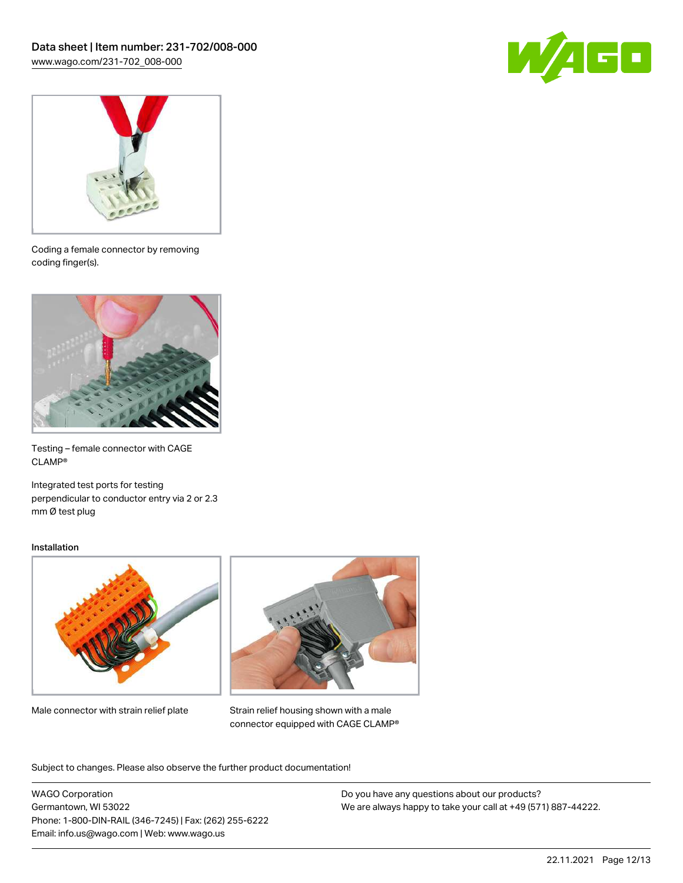



Coding a female connector by removing coding finger(s).



Testing – female connector with CAGE CLAMP®

Integrated test ports for testing perpendicular to conductor entry via 2 or 2.3 mm Ø test plug

#### Installation



Male connector with strain relief plate



Strain relief housing shown with a male connector equipped with CAGE CLAMP®

Subject to changes. Please also observe the further product documentation!

WAGO Corporation Germantown, WI 53022 Phone: 1-800-DIN-RAIL (346-7245) | Fax: (262) 255-6222 Email: info.us@wago.com | Web: www.wago.us